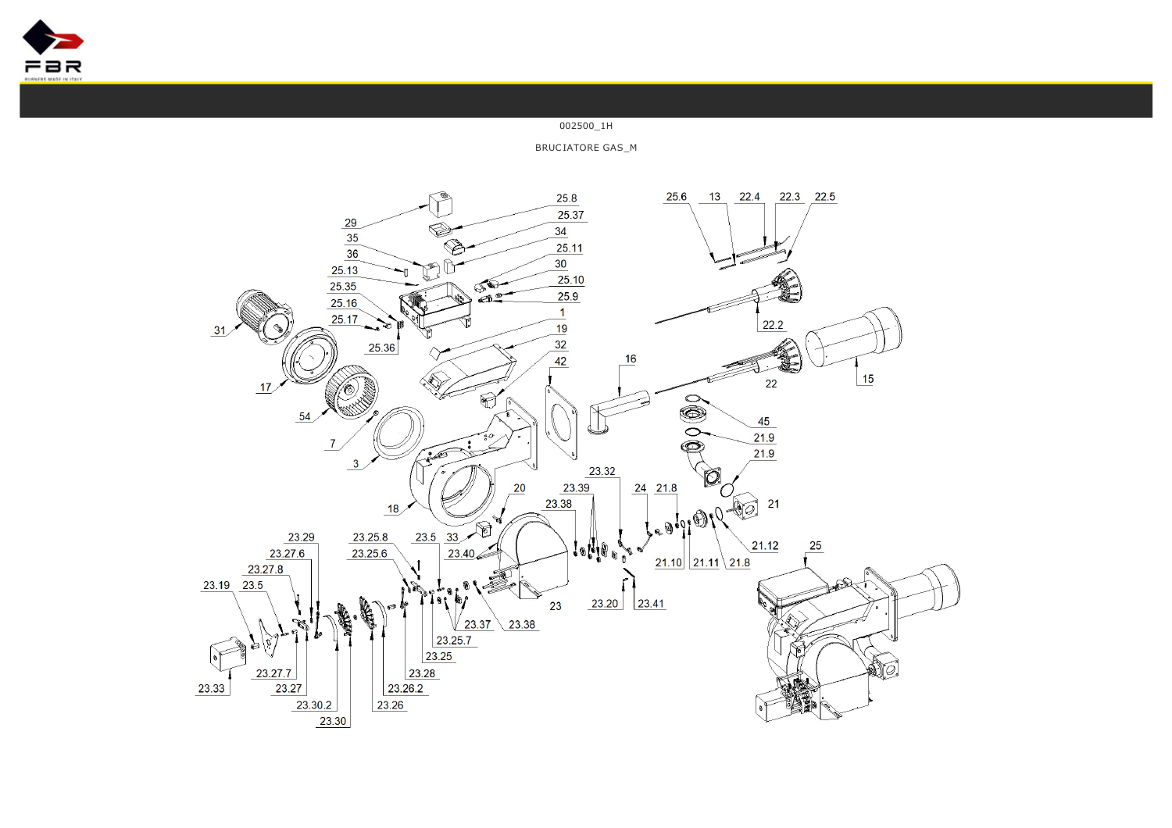

**BRUCIATORE GAS\_M** 

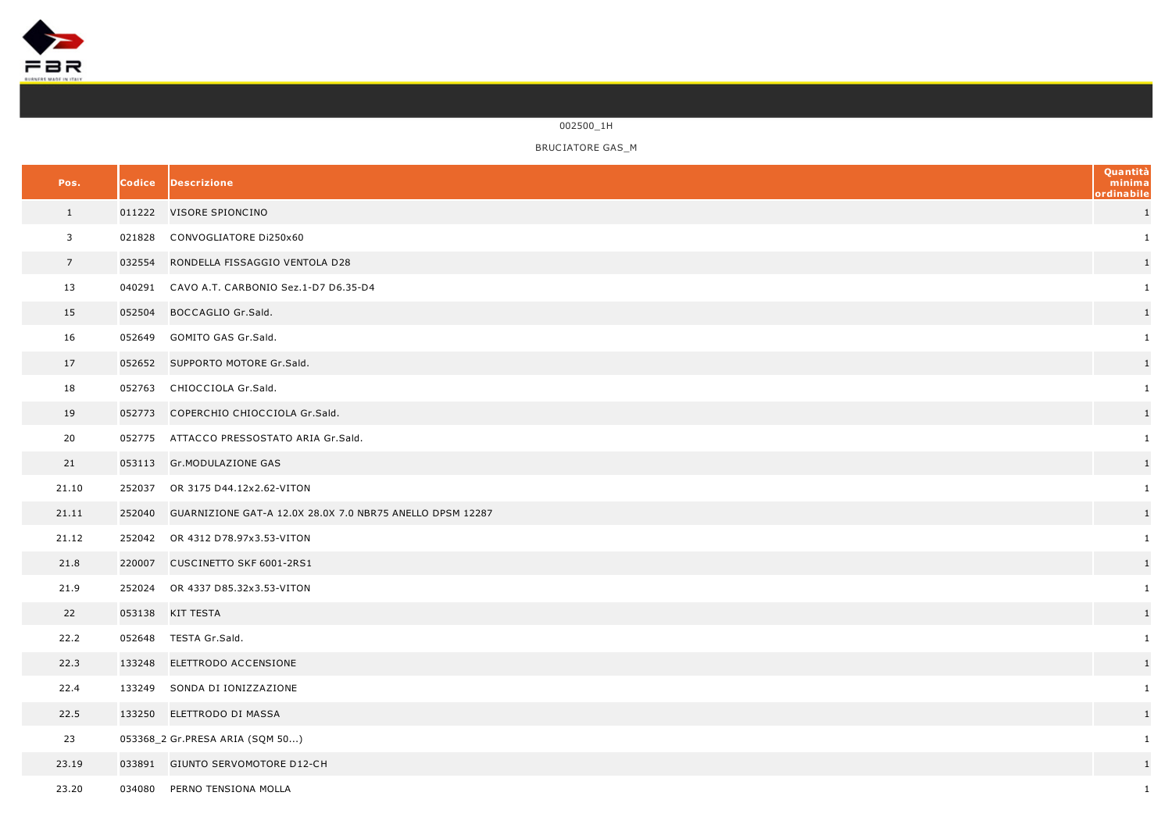

| BRUCIATORE GAS M |  |
|------------------|--|
|------------------|--|

| Pos.            | Codice Descrizione                                               | Quantità<br>minima<br>rdinabile |
|-----------------|------------------------------------------------------------------|---------------------------------|
| $\mathbf{1}$    | 011222 VISORE SPIONCINO                                          | 1                               |
| $\overline{3}$  | 021828 CONVOGLIATORE Di250x60                                    | 1                               |
| $7\overline{ }$ | 032554 RONDELLA FISSAGGIO VENTOLA D28                            | $\mathbf{1}$                    |
| 13              | 040291 CAVO A.T. CARBONIO Sez.1-D7 D6.35-D4                      | $\mathbf{1}$                    |
| 15              | 052504 BOCCAGLIO Gr.Sald.                                        | $\mathbf{1}$                    |
| 16              | 052649 GOMITO GAS Gr.Sald.                                       | $\mathbf{1}$                    |
| 17              | 052652 SUPPORTO MOTORE Gr.Sald.                                  | $\mathbf{1}$                    |
| 18              | 052763 CHIOCCIOLA Gr.Sald.                                       | 1                               |
| 19              | 052773 COPERCHIO CHIOCCIOLA Gr.Sald.                             | $\mathbf{1}$                    |
| 20              | 052775 ATTACCO PRESSOSTATO ARIA Gr.Sald.                         | $\mathbf{1}$                    |
| 21              | 053113 Gr.MODULAZIONE GAS                                        | $\mathbf{1}$                    |
| 21.10           | 252037 OR 3175 D44.12x2.62-VITON                                 | $\mathbf{1}$                    |
| 21.11           | 252040 GUARNIZIONE GAT-A 12.0X 28.0X 7.0 NBR75 ANELLO DPSM 12287 | $\mathbf{1}$                    |
| 21.12           | 252042 OR 4312 D78.97x3.53-VITON                                 | $\mathbf{1}$                    |
| 21.8            | 220007 CUSCINETTO SKF 6001-2RS1                                  | $\mathbf{1}$                    |
| 21.9            | 252024 OR 4337 D85.32x3.53-VITON                                 | $\mathbf{1}$                    |
| 22              | 053138 KIT TESTA                                                 | $\mathbf{1}$                    |
| 22.2            | 052648 TESTA Gr.Sald.                                            | 1                               |
| 22.3            | 133248 ELETTRODO ACCENSIONE                                      | $\mathbf{1}$                    |
| 22.4            | 133249 SONDA DI IONIZZAZIONE                                     | $\mathbf{1}$                    |
| 22.5            | 133250 ELETTRODO DI MASSA                                        | $\mathbf{1}$                    |
| 23              | 053368_2 Gr.PRESA ARIA (SQM 50)                                  | $\mathbf{1}$                    |
| 23.19           | 033891 GIUNTO SERVOMOTORE D12-CH                                 | $\mathbf{1}$                    |
| 23.20           | 034080 PERNO TENSIONA MOLLA                                      | 1                               |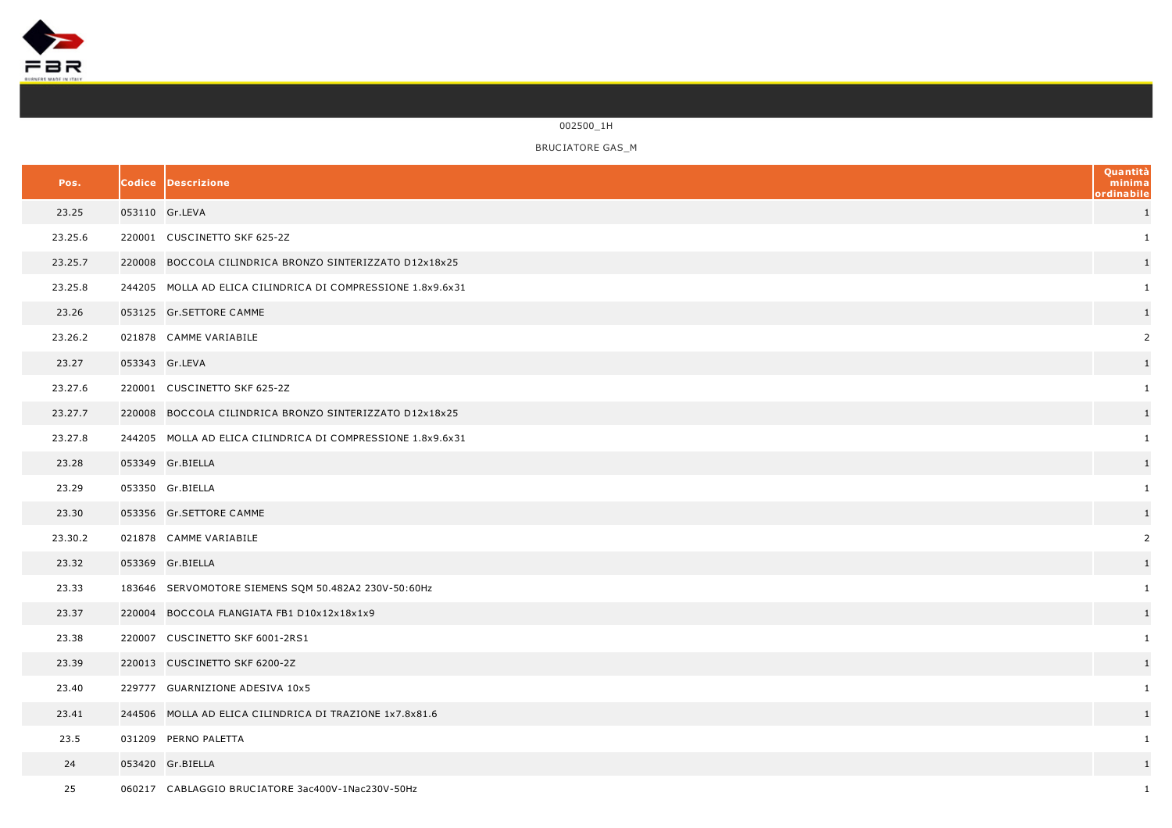

| BRUCIATORE GAS M |  |
|------------------|--|
|------------------|--|

| Pos.    |                | Codice Descrizione                                          | Quantità<br>minima<br>rdinabile |
|---------|----------------|-------------------------------------------------------------|---------------------------------|
| 23.25   | 053110 Gr.LEVA |                                                             | 1                               |
| 23.25.6 |                | 220001 CUSCINETTO SKF 625-2Z                                | $\mathbf{1}$                    |
| 23.25.7 |                | 220008 BOCCOLA CILINDRICA BRONZO SINTERIZZATO D12x18x25     | $\mathbf{1}$                    |
| 23.25.8 |                | 244205 MOLLA AD ELICA CILINDRICA DI COMPRESSIONE 1.8x9.6x31 | 1                               |
| 23.26   |                | 053125 Gr.SETTORE CAMME                                     | 1                               |
| 23.26.2 |                | 021878 CAMME VARIABILE                                      | $\overline{2}$                  |
| 23.27   | 053343 Gr.LEVA |                                                             | $\mathbf{1}$                    |
| 23.27.6 |                | 220001 CUSCINETTO SKF 625-2Z                                | 1                               |
| 23.27.7 |                | 220008 BOCCOLA CILINDRICA BRONZO SINTERIZZATO D12x18x25     | $\mathbf{1}$                    |
| 23.27.8 |                | 244205 MOLLA AD ELICA CILINDRICA DI COMPRESSIONE 1.8x9.6x31 | 1                               |
| 23.28   |                | 053349 Gr.BIELLA                                            | $\mathbf{1}$                    |
| 23.29   |                | 053350 Gr.BIELLA                                            | $\mathbf{1}$                    |
| 23.30   |                | 053356 Gr.SETTORE CAMME                                     | $\mathbf{1}$                    |
| 23.30.2 |                | 021878 CAMME VARIABILE                                      | $\overline{2}$                  |
| 23.32   |                | 053369 Gr.BIELLA                                            | $\mathbf{1}$                    |
| 23.33   |                | 183646 SERVOMOTORE SIEMENS SQM 50.482A2 230V-50:60Hz        | 1                               |
| 23.37   |                | 220004 BOCCOLA FLANGIATA FB1 D10x12x18x1x9                  | $\mathbf{1}$                    |
| 23.38   |                | 220007 CUSCINETTO SKF 6001-2RS1                             | 1                               |
| 23.39   |                | 220013 CUSCINETTO SKF 6200-2Z                               | 1                               |
| 23.40   |                | 229777 GUARNIZIONE ADESIVA 10x5                             | 1                               |
| 23.41   |                | 244506 MOLLA AD ELICA CILINDRICA DI TRAZIONE 1x7.8x81.6     | 1                               |
| 23.5    |                | 031209 PERNO PALETTA                                        | 1                               |
| 24      |                | 053420 Gr.BIELLA                                            | 1                               |
| 25      |                | 060217 CABLAGGIO BRUCIATORE 3ac400V-1Nac230V-50Hz           | $\mathbf{1}$                    |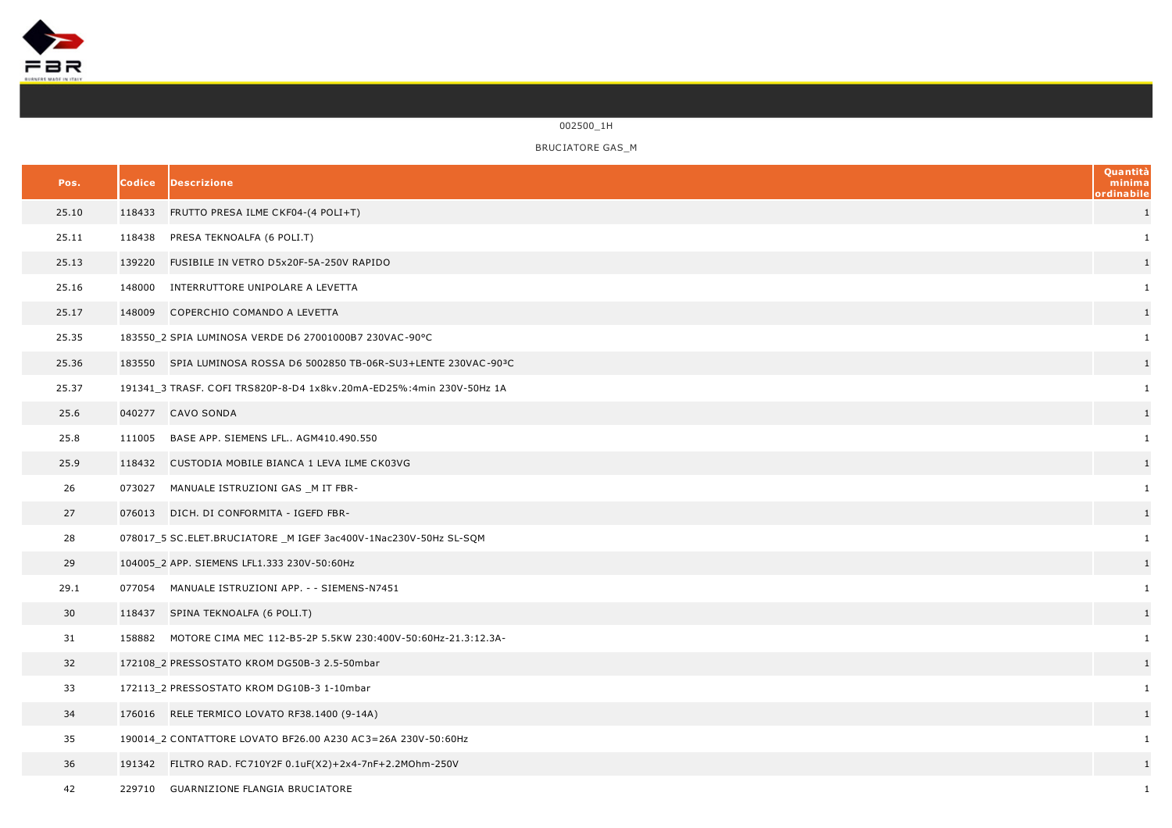

| BRUCIATORE GAS M |  |
|------------------|--|
|------------------|--|

| Pos.  | <b>Codice</b> | Descrizione                                                          | Quantità<br>minima<br>rdinabile |
|-------|---------------|----------------------------------------------------------------------|---------------------------------|
| 25.10 |               | 118433 FRUTTO PRESA ILME CKF04-(4 POLI+T)                            | 1                               |
| 25.11 |               | 118438 PRESA TEKNOALFA (6 POLI.T)                                    | 1                               |
| 25.13 |               | 139220 FUSIBILE IN VETRO D5x20F-5A-250V RAPIDO                       | $\mathbf{1}$                    |
| 25.16 |               | 148000 INTERRUTTORE UNIPOLARE A LEVETTA                              | 1                               |
| 25.17 |               | 148009 COPERCHIO COMANDO A LEVETTA                                   | $\mathbf{1}$                    |
| 25.35 |               | 183550_2 SPIA LUMINOSA VERDE D6 27001000B7 230VAC-90°C               | $\mathbf{1}$                    |
| 25.36 |               | 183550 SPIA LUMINOSA ROSSA D6 5002850 TB-06R-SU3+LENTE 230VAC-903C   | $\mathbf{1}$                    |
| 25.37 |               | 191341_3 TRASF. COFI TRS820P-8-D4 1x8kv.20mA-ED25%:4min 230V-50Hz 1A | $\mathbf{1}$                    |
| 25.6  |               | 040277 CAVO SONDA                                                    | $\mathbf{1}$                    |
| 25.8  | 111005        | BASE APP. SIEMENS LFL AGM410.490.550                                 | 1                               |
| 25.9  |               | 118432 CUSTODIA MOBILE BIANCA 1 LEVA ILME CK03VG                     | $\mathbf{1}$                    |
| 26    |               | 073027 MANUALE ISTRUZIONI GAS _M IT FBR-                             | $\mathbf{1}$                    |
| 27    |               | 076013 DICH. DI CONFORMITA - IGEFD FBR-                              | $\mathbf{1}$                    |
| 28    |               | 078017_5 SC.ELET.BRUCIATORE _M IGEF 3ac400V-1Nac230V-50Hz SL-SQM     | $\mathbf{1}$                    |
| 29    |               | 104005_2 APP. SIEMENS LFL1.333 230V-50:60Hz                          | $\mathbf{1}$                    |
| 29.1  |               | 077054 MANUALE ISTRUZIONI APP. - - SIEMENS-N7451                     | $\mathbf{1}$                    |
| 30    |               | 118437 SPINA TEKNOALFA (6 POLI.T)                                    | $\mathbf{1}$                    |
| 31    |               | 158882 MOTORE CIMA MEC 112-B5-2P 5.5KW 230:400V-50:60Hz-21.3:12.3A-  | $\mathbf{1}$                    |
| 32    |               | 172108_2 PRESSOSTATO KROM DG50B-3 2.5-50mbar                         | $\mathbf{1}$                    |
| 33    |               | 172113_2 PRESSOSTATO KROM DG10B-3 1-10mbar                           | 1                               |
| 34    |               | 176016 RELE TERMICO LOVATO RF38.1400 (9-14A)                         | $\mathbf{1}$                    |
| 35    |               | 190014_2 CONTATTORE LOVATO BF26.00 A230 AC3=26A 230V-50:60Hz         | $\mathbf{1}$                    |
| 36    |               | 191342 FILTRO RAD. FC710Y2F 0.1uF(X2)+2x4-7nF+2.2MOhm-250V           | $\mathbf{1}$                    |
| 42    |               | 229710 GUARNIZIONE FLANGIA BRUCIATORE                                | $\mathbf{1}$                    |